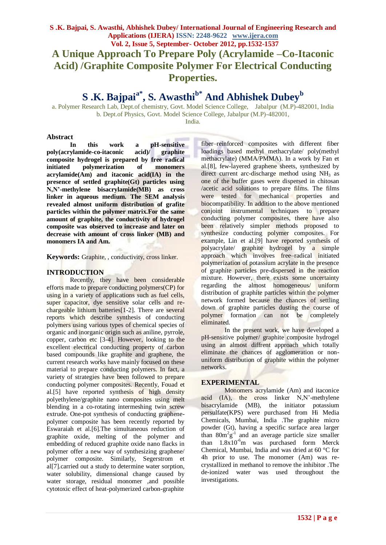# **S .K. Bajpai, S. Awasthi, Abhishek Dubey/ International Journal of Engineering Research and Applications (IJERA) ISSN: 2248-9622 www.ijera.com Vol. 2, Issue 5, September- October 2012, pp.1532-1537 A Unique Approach To Prepare Poly (Acrylamide –Co-Itaconic**

**Acid) /Graphite Composite Polymer For Electrical Conducting Properties.**

# **S .K. Bajpaia\*, S. Awasthib\* And Abhishek Dubey<sup>b</sup>**

a. Polymer Research Lab, Dept.of chemistry, Govt. Model Science College, Jabalpur (M.P)-482001, India b. Dept.of Physics, Govt. Model Science College, Jabalpur (M.P)-482001,

India.

# **Abstract**

**In this work a pH-sensitive poly(acrylamide-co-itaconic acid)/ graphite composite hydrogel is prepared by free radical initiated polymerization of monomers acrylamide(Am) and itaconic acid(IA) in the presence of settled graphite(Gt) particles using N,N'-methylene bisacrylamide(MB) as cross linker in aqueous medium. The SEM analysis revealed almost uniform distribution of grafite particles within the polymer matrix.For the same amount of graphite, the conductivity of hydrogel composite was observed to increase and later on decrease with amount of cross linker (MB) and monomers IA and Am.** 

**Keywords:** Graphite, , conductivity, cross linker.

# **INTRODUCTION**

Recently, they have been considerable efforts made to prepare conducting polymers(CP) for using in a variety of applications such as fuel cells, super capacitor, dye sensitive solar cells and rechargeable lithium batteries[1-2]. There are several reports which describe synthesis of conducting polymers using various types of chemical species of organic and inorganic origin such as aniline, pyrrole, copper, carbon etc [3-4]. However, looking to the excellent electrical conducting property of carbon based compounds like graphite and graphene, the current research works have mainly focused on these material to prepare conducting polymers. In fact, a variety of strategies have been followed to prepare conducting polymer composites. Recently, Fouad et al.[5] have reported synthesis of high density polyethylene/graphite nano composites using melt blending in a co-rotating intermeshing twin screw extrude. One-pot synthesis of conducting graphenepolymer composite has been recently reported by Eswaraiah et al.[6].The simultaneous reduction of graphite oxide, melting of the polymer and embedding of reduced graphite oxide nano flacks in polymer offer a new way of synthesizing graphene/ polymer composite. Similarly, Segerstrom et al[7].carried out a study to determine water sorption, water solubility, dimensional change caused by water storage, residual monomer ,and possible cytotoxic effect of heat-polymerized carbon-graphite

fiber–reinforced composites with different fiber loadings based methyl methacrylate/ poly(methyl methacrylate) (MMA/PMMA). In a work by Fan et al.[8], few-layered graphene sheets, synthesized by direct current arc-discharge method using  $NH<sub>3</sub>$  as one of the buffer gases were dispersed in chitosan /acetic acid solutions to prepare films. The films were tested for mechanical properties and biocompatibility. In addition to the above mentioned conjoint instrumental techniques to prepare conducting polymer composites, there have also been relatively simpler methods proposed to synthesize conducting polymer composites. For example, Lin et al.[9] have reported synthesis of polyacrylate/ graphite hydrogel by a simple approach which involves free–radical initiated polymerization of potassium acrylate in the presence of graphite particles pre-dispersed in the reaction mixture. However, there exists some uncertainty regarding the almost homogeneous/ uniform distribution of graphite particles within the polymer network formed because the chances of settling down of graphite particles dusting the course of polymer formation can not be completely eliminated.

In the present work, we have developed a pH-sensitive polymer/ graphite composite hydrogel using an almost diffrent approach which totally eliminate the chances of agglomeration or nonuniform distribution of graphite within the polymer networks.

# **EXPERIMENTAL**

Monomers acrylamide (Am) and itaconice acid (IA), the cross linker N,N'-methylene bisacrylamide (MB), the initiator potassium persulfate(KPS) were purchased from Hi Media Chemicals, Mumbai, India .The graphite micro powder (Gt), having a specific surface area larger than  $80m^2g^{-1}$  and an average particle size smaller than  $1.8x10^{-6}$ m was purchased form Merck Chemical, Mumbai, India and was dried at 60 °C for 4h prior to use. The monomer (Am) was recrystallized in methanol to remove the inhibitor .The de-ionized water was used throughout the investigations.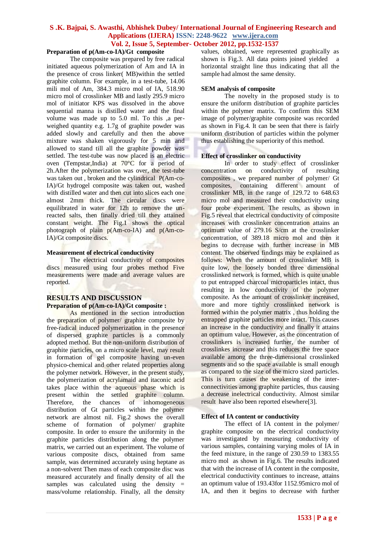j

## **Preparation of p(Am-co-IA)/Gt composite**

The composite was prepared by free radical initiated aqueous polymerization of Am and IA in the presence of cross linker( MB)within the settled graphite column. For example, in a test-tube, 14.06 mili mol of Am, 384.3 micro mol of IA, 518.90 micro mol of crosslinker MB and lastly 295.9 micro mol of initiator KPS was dissolved in the above sequential manna is distilled water and the final volume was made up to 5.0 ml. To this ,a perweighed quantity e.g. 1.7g of graphite powder was added slowly and carefully and then the above mixture was shaken vigorously for 5 min and allowed to stand till all the graphite powder was settled. The test-tube was now placed is an electric oven (Tempstar,India) at  $70^{\circ}$ C for a period of 2h.After the polymerization was over, the test-tube was taken out , broken and the cylindrical P(Am-co-IA)/Gt hydrogel composite was taken out, washed with distilled water and then cut into slices each one almost 2mm thick. The circular discs were equilibrated in water for 12h to remove the unreacted salts, then finally dried till they attained constant weight. The Fig.1 shows the optical photograph of plain p(Am-co-IA) and p(Am-co-IA)/Gt composite discs.

#### **Measurement of electrical conductivity**

The electrical conductivity of composites discs measured using four probes method Five measurements were made and average values are reported.

#### **RESULTS AND DISCUSSION Preparation of p(Am-co-IA)/Gt composite :**

As mentioned in the section introduction the preparation of polymer/ graphite composite by free-radical induced polymerization in the presence of dispersed graphite particles is a commonly adopted method. But the non-uniform distribution of graphite particles, on a micro scale level, may result in formation of gel composite having un-even physico-chemical and other related properties along the polymer network. However, in the present study, the polymerization of acrylamaid and itaconic acid takes place within the aqueous phase which is present within the settled graphite column. Therefore, the chances of inhomogeneous distribution of Gt particles within the polymer network are almost nil. Fig.2 shows the overall scheme of formation of polymer/ graphite composite. In order to ensure the uniformity in the graphite particles distribution along the polymer matrix, we carried out an experiment. The volume of various composite discs, obtained from same sample, was determined accurately using heptane as a non-solvent Then mass of each composite disc was measured accurately and finally density of all the samples was calculated using the density = mass/volume relationship. Finally, all the density

values, obtained, were represented graphically as shown is Fig.3. All data points joined yielded a horizontal straight line thus indicating that all the sample had almost the same density.

#### **SEM analysis of composite**

The novelty in the proposed study is to ensure the uniform distribution of graphite particles within the polymer matrix. To confirm this SEM image of polymer/graphite composite was recorded as shown in Fig.4. It can be seen that there is fairly uniform distribution of particles within the polymer thus establishing the superiority of this method.

#### **Effect of crosslinker on conductivity**

In order to study effect of crosslinker concentration on conductivity of resulting composites , we prepared number of polymer/ Gt composites, containing different amount of crosslinker MB, in the range of 129.72 to 648.63 micro mol and measured their conductivity using four probe experiment. The results, as shown in Fig.5 reveal that electrical conductivity of composite increases with crosslinker concentration attains an optimum value of 279.16 S/cm at the crosslinker concentration, of 389.18 micro mol and then it begins to decrease with further increase in MB content. The observed findings may be explained as follows: When the amount of crosslinker MB is quite low, the loosely bonded three dimensional crosslinked network is formed, which is quite unable to put entrapped charcoal microparticles intact, thus resulting in low conductivity of the polymer composite. As the amount of crosslinker increased, more and more tightly crosslinked network is formed within the polymer matrix , thus holding the entrapped graphite particles more intact. This causes an increase in the conductivity and finally it attains an optimum value. However, as the concentration of crosslinkers is increased further, the number of crosslinkes increase and this reduces the free space available among the three-dimensional crosslinked segments and so the space available is small enough as compared to the size of the micro sized particles. This is turn causes the weakening of the interconnectivities among graphite particles, thus causing a decrease inelectrical conductivity. Almost similar result have also been reported elsewhere[3].

#### **Effect of IA content or conductivity**

The effect of IA content in the polymer/ graphite composite on the electrical conductivity was investigated by measuring conductivity of various samples, containing varying moles of IA in the feed mixture, in the range of 230.59 to 1383.55 micro mol as shown in Fig.6. The results indicated that with the increase of IA content in the composite, electrical conductivity continues to increase, attains an optimum value of 193.43for 1152.95micro mol of IA, and then it begins to decrease with further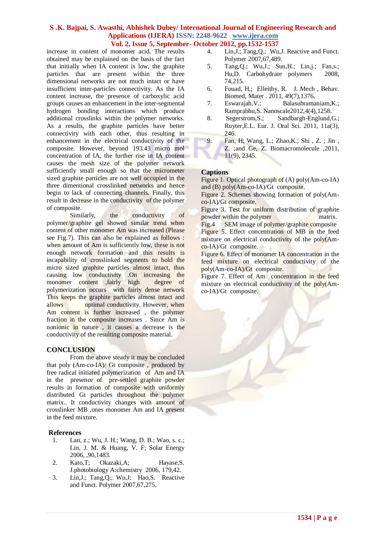increase in content of monomer acid. The results obtained may be explained on the basis of the fact that initially when IA content is low, the graphite particles that are present within the three dimensional networks are not much intact or have insufficient inter-particles connectivity. As the IA content increase, the presence of carboxylic acid groups causes an enhancement in the inter-segmental hydrogen bonding interactions which produce additional crosslinks within the polymer networks. As a results, the graphite particles have better connectivity with each other, thus resulting in enhancement in the electrical conductivity of the composite. However, beyond 193.43 micro mol concentration of IA, the further rise in IA content causes the mesh size of the polymer network sufficiently small enough so that the micrometer sized graphite particles are not well occupied in the three dimentional crosslinked networks and hence begin to lack of connecting channels. Finally, this result in decrease in the conductivity of the polymer of composite.

Similarly, the conductivity of polymer/graphite gel showed similar trend when content of other monomer Am was increased (Please see Fig.7). This can also be explained as follows : when amount of Am is sufficiently low, these is not enough network formation and this results is incapability of crosslinked segments to hold the micro sized graphite particles almost intact, thus causing low conductivity .On increasing the monomer content ,fairly high degree of polymerization occurs with fairly dense network This keeps the graphite particles almost intact and allows optimal conductivity. However, when Am content is further increased , the polymer fraction in the composite increases . Since Am is nonionic in nature , it causes a decrease is the conductivity of the resulting composite material.

#### **CONCLUSION**

From the above steady it may be concluded that poly (Am-co-IA)/ Gt composite , produced by free radical initiated polymerization of Am and IA in the presence of pre-settled graphite powder results in formation of composite with uniformly distributed Gt particles throughout the polymer matrix.. It conductivity changes with amount of crosslinker MB ,ones monomer Am and IA present in the feed mixture.

#### **References**

- 1. Lan, z.; Wu, J. H.; Wang, D. B.; Wao, s. c.; Lin, J. M. & Huang, V. F; Solar Energy 2006, ,90,1483.
- 2. Kato,T; Okazaki,A; Hayase,S. J.photobiology A:chemistry 2006, 179,42.
- 3. Lin,J.; Tang,Q.; Wu,J; Hao,S. Reactive and Funct. Polymer 2007,67,275.
- 4. Lin,J.; Tang,Q.; Wu,J. Reactive and Funct. Polymer 2007,67,489.
- 5. Tang,Q.; Wu,J.; Sun,H.; Lin,j.; Fan,s.; Hu,D. Carbohydrate polymers 2008, 74,215.
- 6. Fouad, H.; Elleithy, R. J. Mech , Behav. Biomed, Mater . 2011, 49(7),1376.
- 7. Eswarajah,V.; Balasubramaniam,K.; Ramprabhu,S. Nanoscale2012,4(4),1258.
- 8. Segerstrom,S.; Sandbargh-Englund,G.; Ruyter,E.L. Eur. J. Oral Sci. 2011, 11a(3), 246.
- 9. Fan, H; Wang, L.; Zhao,K.; Shi , Z. ; Jin , Z. ;and Ge, Z. Biomacromolecule ,2011, 11(9), 2345.

## **Captions**

Figure 1. Optical photograph of (A) poly(Am-co-IA) and (B) poly(Am-co-IA)/Gt composite.

Figure 2. Schemes showing formation of poly(Amco-IA)/Gt composite.

Figure 3. Test for uniform distribution of graphite powder within the polymer matrix.

Fig.4 SEM image of polymer/graphite composite Figure 5. Effect concentration of MB in the feed mixture on electrical conductivity of the poly(Amco-IA)/Gt composite.

Figure 6. Effect of monomer IA concentration in the feed mixture on electrical conductivity of the poly(Am-co-IA)/Gt composite.

Figure 7. Effect of Am concentration in the feed mixture on electrical conductivity of the poly(Amco-IA)/Gt composite.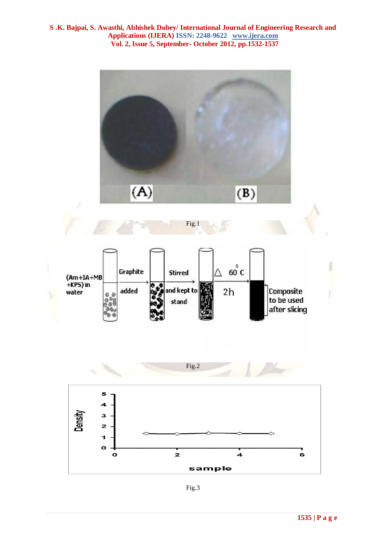

Fig.3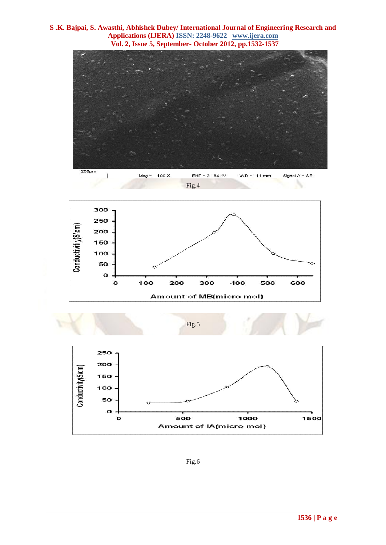







Fig.5



Fig.6